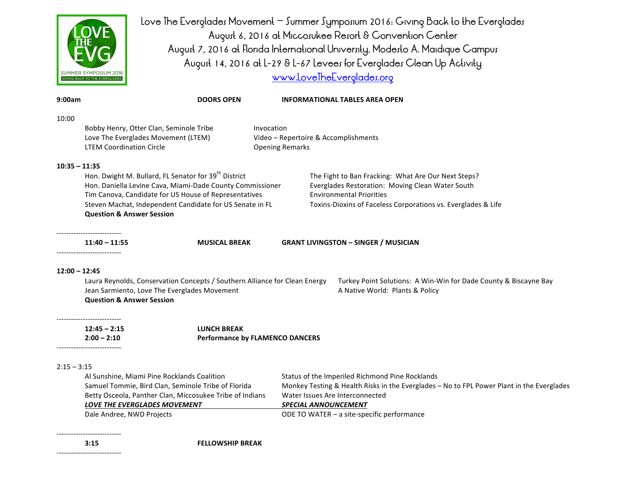

Love The Everglades Movement – Summer Symposium 2016: Giving Back to the Everglades August 6, 2016 at Miccosukee Resort & Convention Center August 7, 2016 at Florida International University, Modesto A. Maidique Campus August 14, 2016 at L-29 & L-67 Levees for Everglades Clean Up Activity www.LoveTheEverolades.org

| 9:00am          |                                                                                                                   | <b>DOORS OPEN</b>                                                                                                          |                                        | <b>INFORMATIONAL TABLES AREA OPEN</b>                                                                                                                       |  |
|-----------------|-------------------------------------------------------------------------------------------------------------------|----------------------------------------------------------------------------------------------------------------------------|----------------------------------------|-------------------------------------------------------------------------------------------------------------------------------------------------------------|--|
| 10:00           |                                                                                                                   |                                                                                                                            |                                        |                                                                                                                                                             |  |
|                 | Bobby Henry, Otter Clan, Seminole Tribe                                                                           |                                                                                                                            | Invocation                             |                                                                                                                                                             |  |
|                 |                                                                                                                   | Love The Everglades Movement (LTEM)                                                                                        |                                        | Video - Repertoire & Accomplishments<br><b>Opening Remarks</b>                                                                                              |  |
|                 | <b>LTEM Coordination Circle</b>                                                                                   |                                                                                                                            |                                        |                                                                                                                                                             |  |
| $10:35 - 11:35$ |                                                                                                                   |                                                                                                                            |                                        |                                                                                                                                                             |  |
|                 |                                                                                                                   | Hon. Dwight M. Bullard, FL Senator for 39 <sup>th</sup> District                                                           |                                        | The Fight to Ban Fracking: What Are Our Next Steps?                                                                                                         |  |
|                 | Hon. Daniella Levine Cava, Miami-Dade County Commissioner                                                         |                                                                                                                            |                                        | Everglades Restoration: Moving Clean Water South<br><b>Environmental Priorities</b>                                                                         |  |
|                 | Tim Canova, Candidate for US House of Representatives<br>Steven Machat, Independent Candidate for US Senate in FL |                                                                                                                            |                                        | Toxins-Dioxins of Faceless Corporations vs. Everglades & Life                                                                                               |  |
|                 | <b>Question &amp; Answer Session</b>                                                                              |                                                                                                                            |                                        |                                                                                                                                                             |  |
|                 |                                                                                                                   |                                                                                                                            |                                        |                                                                                                                                                             |  |
|                 | -------------------------<br>$11:40 - 11:55$                                                                      | <b>MUSICAL BREAK</b>                                                                                                       |                                        | <b>GRANT LIVINGSTON - SINGER / MUSICIAN</b>                                                                                                                 |  |
| $12:00 - 12:45$ | <b>Question &amp; Answer Session</b>                                                                              | Laura Reynolds, Conservation Concepts / Southern Alliance for Clean Energy<br>Jean Sarmiento, Love The Everglades Movement |                                        | Turkey Point Solutions: A Win-Win for Dade County & Biscayne Bay<br>A Native World: Plants & Policy                                                         |  |
|                 | ----------------------<br>$12:45 - 2:15$                                                                          | <b>LUNCH BREAK</b>                                                                                                         |                                        |                                                                                                                                                             |  |
|                 | $2:00 - 2:10$<br>---------------------------                                                                      |                                                                                                                            | <b>Performance by FLAMENCO DANCERS</b> |                                                                                                                                                             |  |
|                 |                                                                                                                   |                                                                                                                            |                                        |                                                                                                                                                             |  |
|                 | Al Sunshine, Miami Pine Rocklands Coalition                                                                       |                                                                                                                            |                                        | Status of the Imperiled Richmond Pine Rocklands                                                                                                             |  |
|                 |                                                                                                                   | Samuel Tommie, Bird Clan, Seminole Tribe of Florida                                                                        |                                        |                                                                                                                                                             |  |
| $2:15 - 3:15$   | LOVE THE EVERGLADES MOVEMENT                                                                                      | Betty Osceola, Panther Clan, Miccosukee Tribe of Indians                                                                   |                                        | Monkey Testing & Health Risks in the Everglades - No to FPL Power Plant in the Everglades<br>Water Issues Are Interconnected<br><b>SPECIAL ANNOUNCEMENT</b> |  |

**3:15 FELLOWSHIP BREAK** 

---------------------------